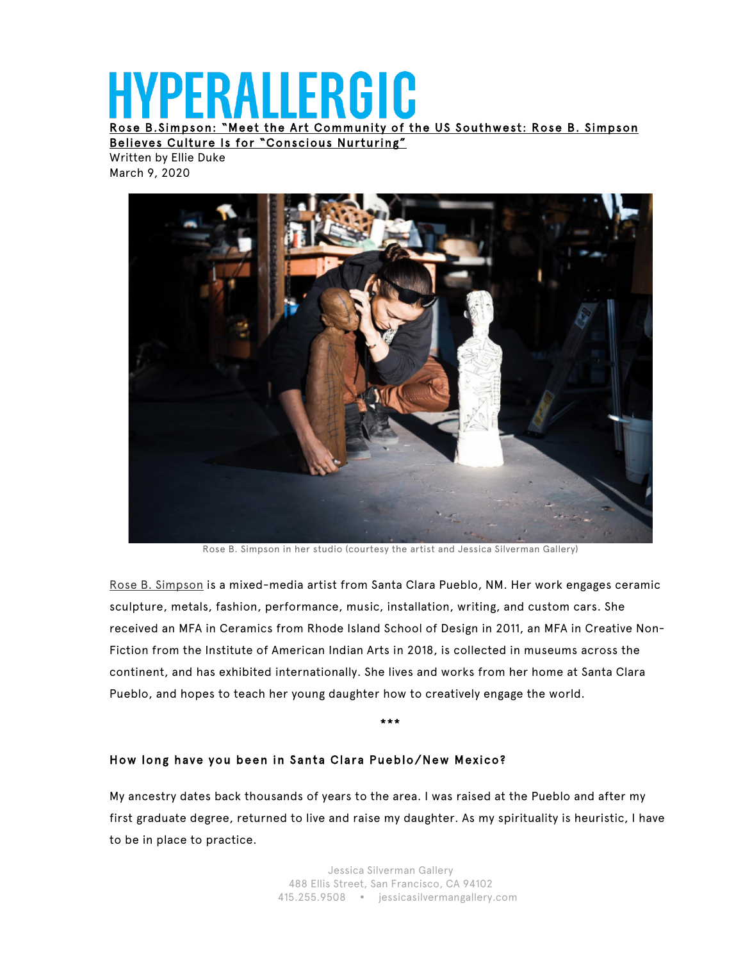# PFRAILERGIC

Rose B.Simpson: "Meet the Art Community of the US Southwest: Rose B. Simpson

Believes Culture Is for "Conscious Nurturing" Written by Ellie Duke

March 9, 2020



Rose B. Simpson in her studio (courtesy the artist and Jessica Silverman Gallery)

Rose B. Simpson is a mixed-media artist from Santa Clara Pueblo, NM. Her work engages ceramic sculpture, metals, fashion, performance, music, installation, writing, and custom cars. She received an MFA in Ceramics from Rhode Island School of Design in 2011, an MFA in Creative Non-Fiction from the Institute of American Indian Arts in 2018, is collected in museums across the continent, and has exhibited internationally. She lives and works from her home at Santa Clara Pueblo, and hopes to teach her young daughter how to creatively engage the world.

\*\*\*

#### How long have you been in Santa Clara Pueblo/New Mexico?

My ancestry dates back thousands of years to the area. I was raised at the Pueblo and after my first graduate degree, returned to live and raise my daughter. As my spirituality is heuristic, I have to be in place to practice.

> Jessica Silverman Gallery 488 Ellis Street, San Francisco, CA 94102 415.255.9508 jessicasilvermangallery.com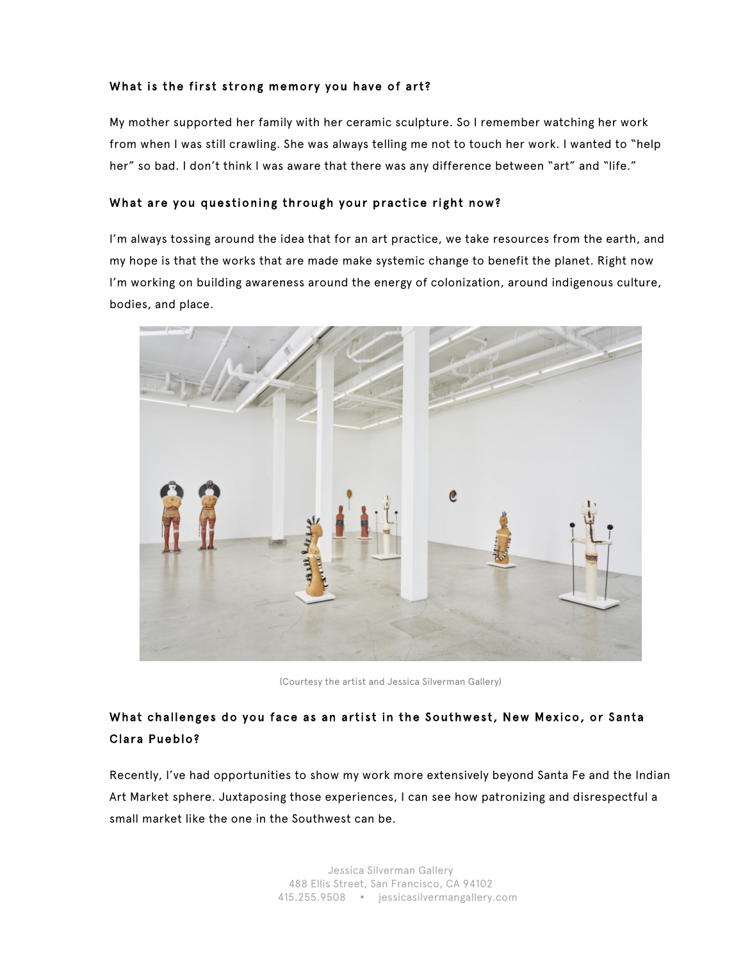#### What is the first strong memory you have of art?

My mother supported her family with her ceramic sculpture. So I remember watching her work from when I was still crawling. She was always telling me not to touch her work. I wanted to "help her" so bad. I don't think I was aware that there was any difference between "art" and "life."

#### What are you questioning through your practice right now?

I'm always tossing around the idea that for an art practice, we take resources from the earth, and my hope is that the works that are made make systemic change to benefit the planet. Right now I'm working on building awareness around the energy of colonization, around indigenous culture, bodies, and place.



(Courtesy the artist and Jessica Silverman Gallery)

## What challenges do you face as an artist in the Southwest, New Mexico, or Santa Clara Pueblo?

Recently, I've had opportunities to show my work more extensively beyond Santa Fe and the Indian Art Market sphere. Juxtaposing those experiences, I can see how patronizing and disrespectful a small market like the one in the Southwest can be.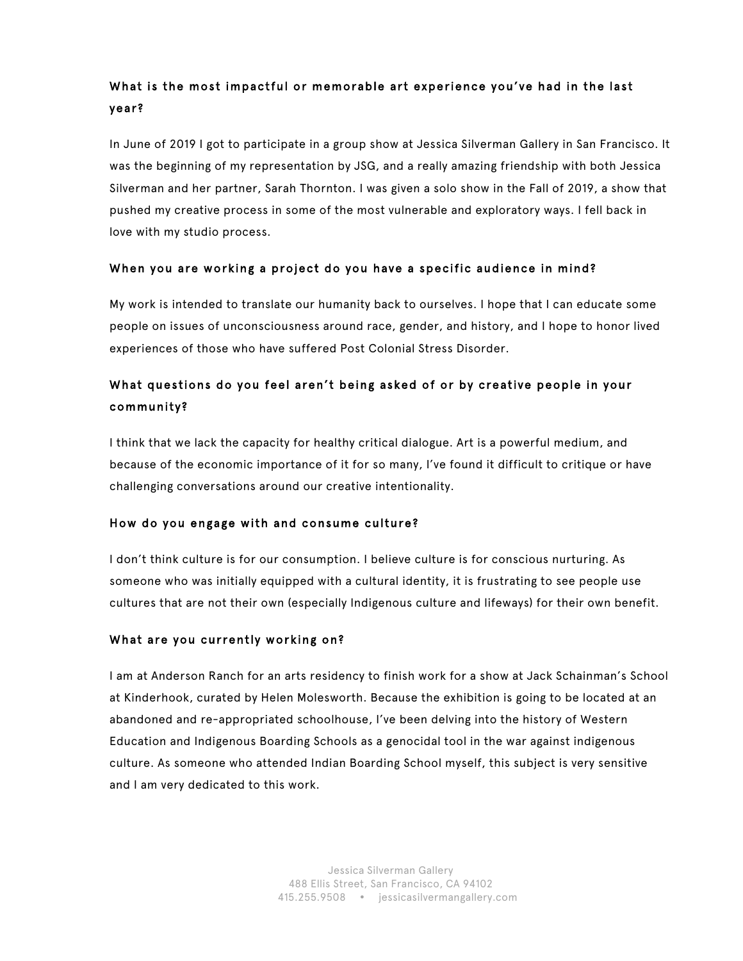# What is the most impactful or memorable art experience you've had in the last year?

In June of 2019 I got to participate in a group show at Jessica Silverman Gallery in San Francisco. It was the beginning of my representation by JSG, and a really amazing friendship with both Jessica Silverman and her partner, Sarah Thornton. I was given a solo show in the Fall of 2019, a show that pushed my creative process in some of the most vulnerable and exploratory ways. I fell back in love with my studio process.

## When you are working a project do you have a specific audience in mind?

My work is intended to translate our humanity back to ourselves. I hope that I can educate some people on issues of unconsciousness around race, gender, and history, and I hope to honor lived experiences of those who have suffered Post Colonial Stress Disorder.

# What questions do you feel aren't being asked of or by creative people in your community?

I think that we lack the capacity for healthy critical dialogue. Art is a powerful medium, and because of the economic importance of it for so many, I've found it difficult to critique or have challenging conversations around our creative intentionality.

## How do you engage with and consume culture?

I don't think culture is for our consumption. I believe culture is for conscious nurturing. As someone who was initially equipped with a cultural identity, it is frustrating to see people use cultures that are not their own (especially Indigenous culture and lifeways) for their own benefit.

## What are you currently working on?

I am at Anderson Ranch for an arts residency to finish work for a show at Jack Schainman's School at Kinderhook, curated by Helen Molesworth. Because the exhibition is going to be located at an abandoned and re-appropriated schoolhouse, I've been delving into the history of Western Education and Indigenous Boarding Schools as a genocidal tool in the war against indigenous culture. As someone who attended Indian Boarding School myself, this subject is very sensitive and I am very dedicated to this work.